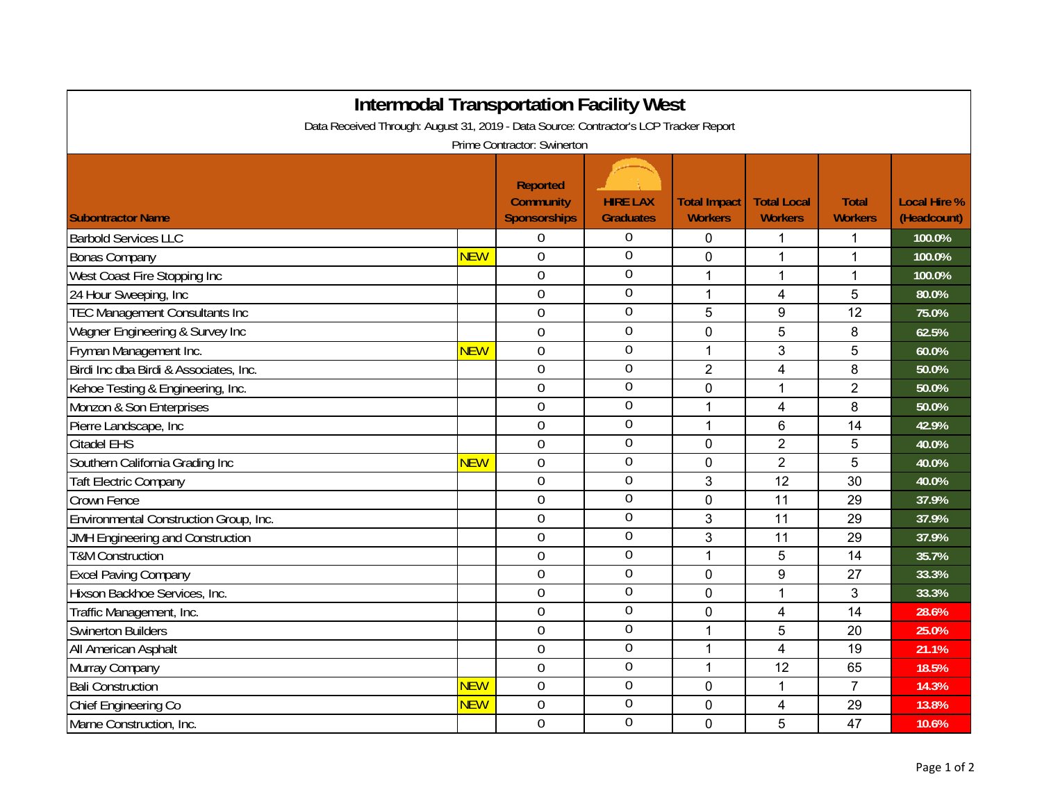| <b>Intermodal Transportation Facility West</b>                                        |            |                                                            |                                     |                                       |                                      |                                |                                    |  |  |  |  |  |
|---------------------------------------------------------------------------------------|------------|------------------------------------------------------------|-------------------------------------|---------------------------------------|--------------------------------------|--------------------------------|------------------------------------|--|--|--|--|--|
| Data Received Through: August 31, 2019 - Data Source: Contractor's LCP Tracker Report |            |                                                            |                                     |                                       |                                      |                                |                                    |  |  |  |  |  |
| Prime Contractor: Swinerton                                                           |            |                                                            |                                     |                                       |                                      |                                |                                    |  |  |  |  |  |
| <b>Subontractor Name</b>                                                              |            | <b>Reported</b><br><b>Community</b><br><b>Sponsorships</b> | <b>HIRE LAX</b><br><b>Graduates</b> | <b>Total Impact</b><br><b>Workers</b> | <b>Total Local</b><br><b>Workers</b> | <b>Total</b><br><b>Workers</b> | <b>Local Hire %</b><br>(Headcount) |  |  |  |  |  |
| <b>Barbold Services LLC</b>                                                           |            | $\overline{0}$                                             | $\overline{0}$                      | $\mathbf{0}$                          | 1                                    | 1                              | 100.0%                             |  |  |  |  |  |
| <b>Bonas Company</b>                                                                  | <b>NEW</b> | $\mathbf 0$                                                | $\overline{0}$                      | $\mathbf 0$                           | 1                                    | 1                              | 100.0%                             |  |  |  |  |  |
| West Coast Fire Stopping Inc                                                          |            | $\overline{0}$                                             | $\overline{0}$                      | 1                                     | $\mathbf{1}$                         | 1                              | 100.0%                             |  |  |  |  |  |
| 24 Hour Sweeping, Inc                                                                 |            | $\overline{0}$                                             | $\overline{0}$                      | $\mathbf{1}$                          | 4                                    | 5                              | 80.0%                              |  |  |  |  |  |
| <b>TEC Management Consultants Inc</b>                                                 |            | $\overline{0}$                                             | $\mathbf 0$                         | 5                                     | 9                                    | 12                             | 75.0%                              |  |  |  |  |  |
| Wagner Engineering & Survey Inc                                                       |            | 0                                                          | $\overline{0}$                      | $\mathbf 0$                           | 5                                    | 8                              | 62.5%                              |  |  |  |  |  |
| Fryman Management Inc.                                                                | <b>NEW</b> | $\overline{0}$                                             | $\boldsymbol{0}$                    | 1                                     | 3                                    | 5                              | 60.0%                              |  |  |  |  |  |
| Birdi Inc dba Birdi & Associates, Inc.                                                |            | $\mathbf 0$                                                | $\overline{0}$                      | $\overline{2}$                        | $\overline{\mathbf{4}}$              | 8                              | 50.0%                              |  |  |  |  |  |
| Kehoe Testing & Engineering, Inc.                                                     |            | $\mathbf 0$                                                | 0                                   | $\mathbf 0$                           | $\mathbf{1}$                         | $\overline{2}$                 | 50.0%                              |  |  |  |  |  |
| Monzon & Son Enterprises                                                              |            | $\overline{0}$                                             | $\overline{0}$                      | $\mathbf{1}$                          | $\overline{4}$                       | 8                              | 50.0%                              |  |  |  |  |  |
| Pierre Landscape, Inc                                                                 |            | $\overline{0}$                                             | $\overline{0}$                      | $\mathbf{1}$                          | 6                                    | 14                             | 42.9%                              |  |  |  |  |  |
| Citadel EHS                                                                           |            | 0                                                          | $\overline{0}$                      | $\mathbf 0$                           | $\overline{2}$                       | 5                              | 40.0%                              |  |  |  |  |  |
| Southern California Grading Inc                                                       | <b>NEW</b> | $\overline{0}$                                             | $\overline{0}$                      | $\mathbf 0$                           | $\overline{2}$                       | 5                              | 40.0%                              |  |  |  |  |  |
| <b>Taft Electric Company</b>                                                          |            | 0                                                          | $\overline{0}$                      | 3                                     | 12                                   | 30                             | 40.0%                              |  |  |  |  |  |
| <b>Crown Fence</b>                                                                    |            | $\overline{0}$                                             | $\boldsymbol{0}$                    | $\mathbf 0$                           | 11                                   | 29                             | 37.9%                              |  |  |  |  |  |
| Environmental Construction Group, Inc.                                                |            | $\overline{0}$                                             | $\overline{0}$                      | 3                                     | 11                                   | 29                             | 37.9%                              |  |  |  |  |  |
| <b>JMH Engineering and Construction</b>                                               |            | $\overline{0}$                                             | $\mathbf 0$                         | 3                                     | 11                                   | 29                             | 37.9%                              |  |  |  |  |  |
| <b>T&amp;M Construction</b>                                                           |            | 0                                                          | $\overline{0}$                      | $\mathbf{1}$                          | 5                                    | 14                             | 35.7%                              |  |  |  |  |  |
| <b>Excel Paving Company</b>                                                           |            | $\overline{0}$                                             | $\overline{0}$                      | $\mathbf 0$                           | 9                                    | 27                             | 33.3%                              |  |  |  |  |  |
| Hixson Backhoe Services, Inc.                                                         |            | $\mathbf 0$                                                | $\overline{0}$                      | $\mathbf 0$                           | $\mathbf{1}$                         | 3                              | 33.3%                              |  |  |  |  |  |
| Traffic Management, Inc.                                                              |            | $\overline{0}$                                             | $\overline{0}$                      | $\mathbf 0$                           | 4                                    | 14                             | 28.6%                              |  |  |  |  |  |
| <b>Swinerton Builders</b>                                                             |            | $\overline{0}$                                             | $\overline{0}$                      | $\mathbf{1}$                          | 5                                    | 20                             | 25.0%                              |  |  |  |  |  |
| All American Asphalt                                                                  |            | $\overline{0}$                                             | $\overline{0}$                      | 1                                     | $\overline{4}$                       | 19                             | 21.1%                              |  |  |  |  |  |
| Murray Company                                                                        |            | 0                                                          | $\overline{0}$                      | 1                                     | 12                                   | 65                             | 18.5%                              |  |  |  |  |  |
| <b>Bali Construction</b>                                                              | <b>NEW</b> | $\overline{0}$                                             | $\overline{0}$                      | $\mathbf 0$                           | $\mathbf{1}$                         | $\overline{7}$                 | 14.3%                              |  |  |  |  |  |
| Chief Engineering Co                                                                  | <b>NEW</b> | 0                                                          | $\mathbf 0$                         | $\mathbf 0$                           | 4                                    | 29                             | 13.8%                              |  |  |  |  |  |
| Marne Construction, Inc.                                                              |            | $\overline{0}$                                             | $\overline{0}$                      | $\mathbf 0$                           | 5                                    | 47                             | 10.6%                              |  |  |  |  |  |